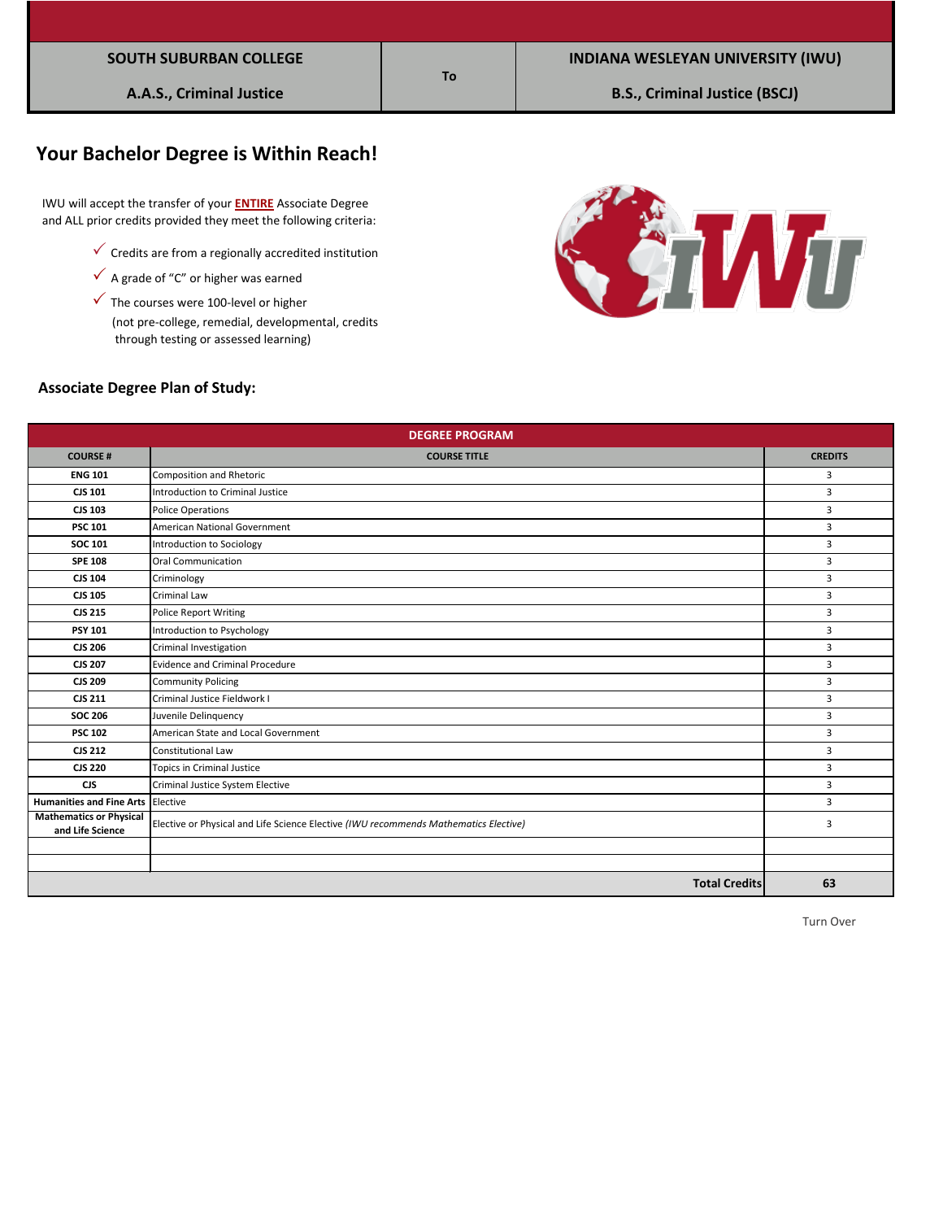| <b>SOUTH SUBURBAN COLLEGE</b> |
|-------------------------------|
|-------------------------------|

# **Your Bachelor Degree is Within Reach!**

 IWU will accept the transfer of your **ENTIRE** Associate Degree and ALL prior credits provided they meet the following criteria:

- $\checkmark$  Credits are from a regionally accredited institution
- $\checkmark$  A grade of "C" or higher was earned
- $\checkmark$  The courses were 100-level or higher

 (not pre-college, remedial, developmental, credits through testing or assessed learning)



### **Associate Degree Plan of Study:**

| <b>DEGREE PROGRAM</b>                              |                                                                                      |                |  |  |
|----------------------------------------------------|--------------------------------------------------------------------------------------|----------------|--|--|
| <b>COURSE#</b>                                     | <b>COURSE TITLE</b>                                                                  | <b>CREDITS</b> |  |  |
| <b>ENG 101</b>                                     | <b>Composition and Rhetoric</b>                                                      | 3              |  |  |
| CJS 101                                            | Introduction to Criminal Justice                                                     | 3              |  |  |
| <b>CJS 103</b>                                     | <b>Police Operations</b>                                                             | $\overline{3}$ |  |  |
| <b>PSC 101</b>                                     | <b>American National Government</b>                                                  | 3              |  |  |
| <b>SOC 101</b>                                     | <b>Introduction to Sociology</b>                                                     | 3              |  |  |
| <b>SPE 108</b>                                     | Oral Communication                                                                   | 3              |  |  |
| <b>CJS 104</b>                                     | Criminology                                                                          | 3              |  |  |
| <b>CJS 105</b>                                     | <b>Criminal Law</b>                                                                  | 3              |  |  |
| <b>CJS 215</b>                                     | <b>Police Report Writing</b>                                                         | 3              |  |  |
| <b>PSY 101</b>                                     | Introduction to Psychology                                                           | 3              |  |  |
| <b>CJS 206</b>                                     | Criminal Investigation                                                               | 3              |  |  |
| <b>CJS 207</b>                                     | <b>Evidence and Criminal Procedure</b>                                               | 3              |  |  |
| <b>CJS 209</b>                                     | <b>Community Policing</b>                                                            | 3              |  |  |
| <b>CJS 211</b>                                     | Criminal Justice Fieldwork I                                                         | 3              |  |  |
| <b>SOC 206</b>                                     | Juvenile Delinquency                                                                 | $\overline{3}$ |  |  |
| <b>PSC 102</b>                                     | American State and Local Government                                                  | 3              |  |  |
| <b>CJS 212</b>                                     | Constitutional Law                                                                   | 3              |  |  |
| <b>CJS 220</b>                                     | <b>Topics in Criminal Justice</b>                                                    | 3              |  |  |
| <b>CJS</b>                                         | Criminal Justice System Elective                                                     | $\overline{3}$ |  |  |
| Humanities and Fine Arts Elective                  |                                                                                      | 3              |  |  |
| <b>Mathematics or Physical</b><br>and Life Science | Elective or Physical and Life Science Elective (IWU recommends Mathematics Elective) | 3              |  |  |
|                                                    |                                                                                      |                |  |  |
|                                                    |                                                                                      |                |  |  |
|                                                    | <b>Total Credits</b>                                                                 | 63             |  |  |

**To**